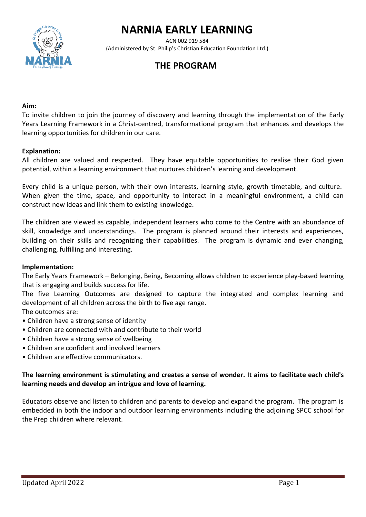# **NARNIA EARLY LEARNING**



 ACN 002 919 584 (Administered by St. Philip's Christian Education Foundation Ltd.)

# **THE PROGRAM**

#### **Aim:**

To invite children to join the journey of discovery and learning through the implementation of the Early Years Learning Framework in a Christ-centred, transformational program that enhances and develops the learning opportunities for children in our care.

#### **Explanation:**

All children are valued and respected. They have equitable opportunities to realise their God given potential, within a learning environment that nurtures children's learning and development.

Every child is a unique person, with their own interests, learning style, growth timetable, and culture. When given the time, space, and opportunity to interact in a meaningful environment, a child can construct new ideas and link them to existing knowledge.

The children are viewed as capable, independent learners who come to the Centre with an abundance of skill, knowledge and understandings. The program is planned around their interests and experiences, building on their skills and recognizing their capabilities. The program is dynamic and ever changing, challenging, fulfilling and interesting.

#### **Implementation:**

The Early Years Framework – Belonging, Being, Becoming allows children to experience play-based learning that is engaging and builds success for life.

The five Learning Outcomes are designed to capture the integrated and complex learning and development of all children across the birth to five age range.

The outcomes are:

- Children have a strong sense of identity
- Children are connected with and contribute to their world
- Children have a strong sense of wellbeing
- Children are confident and involved learners
- Children are effective communicators.

# **The learning environment is stimulating and creates a sense of wonder. It aims to facilitate each child's learning needs and develop an intrigue and love of learning.**

Educators observe and listen to children and parents to develop and expand the program. The program is embedded in both the indoor and outdoor learning environments including the adjoining SPCC school for the Prep children where relevant.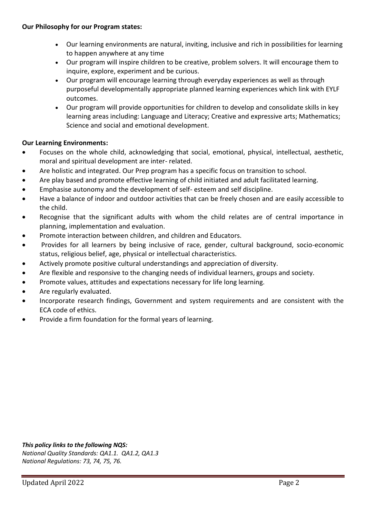- Our learning environments are natural, inviting, inclusive and rich in possibilities for learning to happen anywhere at any time
- Our program will inspire children to be creative, problem solvers. It will encourage them to inquire, explore, experiment and be curious.
- Our program will encourage learning through everyday experiences as well as through purposeful developmentally appropriate planned learning experiences which link with EYLF outcomes.
- Our program will provide opportunities for children to develop and consolidate skills in key learning areas including: Language and Literacy; Creative and expressive arts; Mathematics; Science and social and emotional development.

# **Our Learning Environments:**

- Focuses on the whole child, acknowledging that social, emotional, physical, intellectual, aesthetic, moral and spiritual development are inter- related.
- Are holistic and integrated. Our Prep program has a specific focus on transition to school.
- Are play based and promote effective learning of child initiated and adult facilitated learning.
- Emphasise autonomy and the development of self- esteem and self discipline.
- Have a balance of indoor and outdoor activities that can be freely chosen and are easily accessible to the child.
- Recognise that the significant adults with whom the child relates are of central importance in planning, implementation and evaluation.
- Promote interaction between children, and children and Educators.
- Provides for all learners by being inclusive of race, gender, cultural background, socio-economic status, religious belief, age, physical or intellectual characteristics.
- Actively promote positive cultural understandings and appreciation of diversity.
- Are flexible and responsive to the changing needs of individual learners, groups and society.
- Promote values, attitudes and expectations necessary for life long learning.
- Are regularly evaluated.
- Incorporate research findings, Government and system requirements and are consistent with the ECA code of ethics.
- Provide a firm foundation for the formal years of learning.

*This policy links to the following NQS: National Quality Standards: QA1.1. QA1.2, QA1.3 National Regulations: 73, 74, 75, 76.*